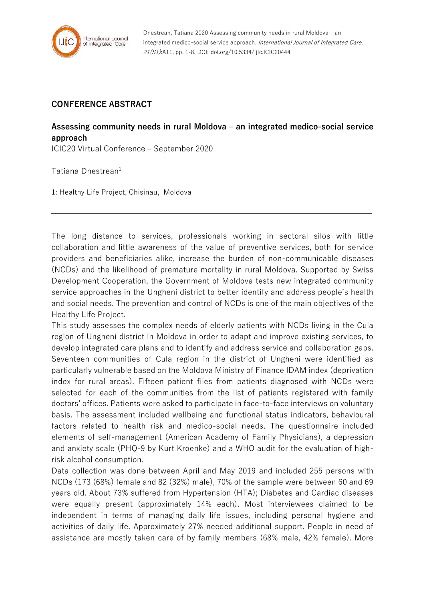

## **CONFERENCE ABSTRACT**

## **Assessing community needs in rural Moldova – an integrated medico-social service approach**

ICIC20 Virtual Conference – September 2020

Tatiana Dnestrean<sup>1,</sup>

1: Healthy Life Project, Chisinau, Moldova

The long distance to services, professionals working in sectoral silos with little collaboration and little awareness of the value of preventive services, both for service providers and beneficiaries alike, increase the burden of non-communicable diseases (NCDs) and the likelihood of premature mortality in rural Moldova. Supported by Swiss Development Cooperation, the Government of Moldova tests new integrated community service approaches in the Ungheni district to better identify and address people's health and social needs. The prevention and control of NCDs is one of the main objectives of the Healthy Life Project.

This study assesses the complex needs of elderly patients with NCDs living in the Cula region of Ungheni district in Moldova in order to adapt and improve existing services, to develop integrated care plans and to identify and address service and collaboration gaps. Seventeen communities of Cula region in the district of Ungheni were identified as particularly vulnerable based on the Moldova Ministry of Finance IDAM index (deprivation index for rural areas). Fifteen patient files from patients diagnosed with NCDs were selected for each of the communities from the list of patients registered with family doctors' offices. Patients were asked to participate in face-to-face interviews on voluntary basis. The assessment included wellbeing and functional status indicators, behavioural factors related to health risk and medico-social needs. The questionnaire included elements of self-management (American Academy of Family Physicians), a depression and anxiety scale (PHQ-9 by Kurt Kroenke) and a WHO audit for the evaluation of highrisk alcohol consumption.

Data collection was done between April and May 2019 and included 255 persons with NCDs (173 (68%) female and 82 (32%) male), 70% of the sample were between 60 and 69 years old. About 73% suffered from Hypertension (HTA); Diabetes and Cardiac diseases were equally present (approximately 14% each). Most interviewees claimed to be independent in terms of managing daily life issues, including personal hygiene and activities of daily life. Approximately 27% needed additional support. People in need of assistance are mostly taken care of by family members (68% male, 42% female). More